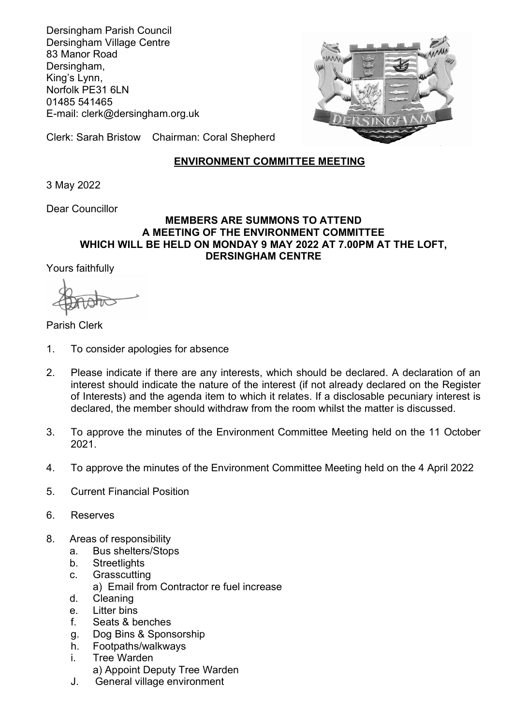Dersingham Parish Council Dersingham Village Centre 83 Manor Road Dersingham, King's Lynn, Norfolk PE31 6LN 01485 541465 E-mail: clerk@dersingham.org.uk



Clerk: Sarah Bristow Chairman: Coral Shepherd

## ENVIRONMENT COMMITTEE MEETING

3 May 2022

Dear Councillor

## MEMBERS ARE SUMMONS TO ATTEND A MEETING OF THE ENVIRONMENT COMMITTEE WHICH WILL BE HELD ON MONDAY 9 MAY 2022 AT 7.00PM AT THE LOFT, DERSINGHAM CENTRE

Yours faithfully

Parish Clerk

- 1. To consider apologies for absence
- 2. Please indicate if there are any interests, which should be declared. A declaration of an interest should indicate the nature of the interest (if not already declared on the Register of Interests) and the agenda item to which it relates. If a disclosable pecuniary interest is declared, the member should withdraw from the room whilst the matter is discussed.
- 3. To approve the minutes of the Environment Committee Meeting held on the 11 October 2021.
- 4. To approve the minutes of the Environment Committee Meeting held on the 4 April 2022
- 5. Current Financial Position
- 6. Reserves
- 8. Areas of responsibility
	- a. Bus shelters/Stops
	- b. Streetlights
	- c. Grasscutting
		- a) Email from Contractor re fuel increase
	- d. Cleaning
	- e. Litter bins
	- f. Seats & benches
	- g. Dog Bins & Sponsorship
	- h. Footpaths/walkways
	- i. Tree Warden a) Appoint Deputy Tree Warden
	- J. General village environment